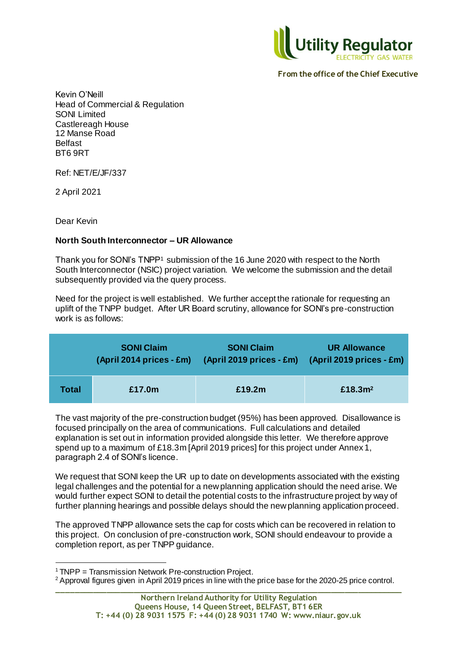

 **From the office of the Chief Executive**

Kevin O'Neill Head of Commercial & Regulation SONI Limited Castlereagh House 12 Manse Road Belfast BT6 9RT

Ref: NET/E/JF/337

2 April 2021

Dear Kevin

l

## **North South Interconnector – UR Allowance**

Thank you for SONI's TNPP<sup>1</sup> submission of the 16 June 2020 with respect to the North South Interconnector (NSIC) project variation. We welcome the submission and the detail subsequently provided via the query process.

Need for the project is well established. We further accept the rationale for requesting an uplift of the TNPP budget. After UR Board scrutiny, allowance for SONI's pre-construction work is as follows:

|       | <b>SONI Claim</b> | <b>SONI Claim</b><br>(April 2014 prices - £m) (April 2019 prices - £m) | <b>UR Allowance</b><br>$(April 2019 prices - Em)$ |
|-------|-------------------|------------------------------------------------------------------------|---------------------------------------------------|
| Total | £17.0m            | £19.2m                                                                 | £18.3 $m2$                                        |

The vast majority of the pre-construction budget (95%) has been approved. Disallowance is focused principally on the area of communications. Full calculations and detailed explanation is set out in information provided alongside this letter. We therefore approve spend up to a maximum of £18.3m [April 2019 prices] for this project under Annex 1, paragraph 2.4 of SONI's licence.

We request that SONI keep the UR up to date on developments associated with the existing legal challenges and the potential for a new planning application should the need arise. We would further expect SONI to detail the potential costs to the infrastructure project by way of further planning hearings and possible delays should the new planning application proceed.

The approved TNPP allowance sets the cap for costs which can be recovered in relation to this project. On conclusion of pre-construction work, SONI should endeavour to provide a completion report, as per TNPP guidance.

<sup>&</sup>lt;sup>1</sup> TNPP = Transmission Network Pre-construction Project.

**\_\_\_\_\_\_\_\_\_\_\_\_\_\_\_\_\_\_\_\_\_\_\_\_\_\_\_\_\_\_\_\_\_\_\_\_\_\_\_\_\_\_\_\_\_\_\_\_\_\_\_\_\_\_\_\_\_\_\_\_\_\_\_\_\_\_\_\_\_\_\_\_\_\_\_\_\_** <sup>2</sup> Approval figures given in April 2019 prices in line with the price base for the 2020-25 price control.